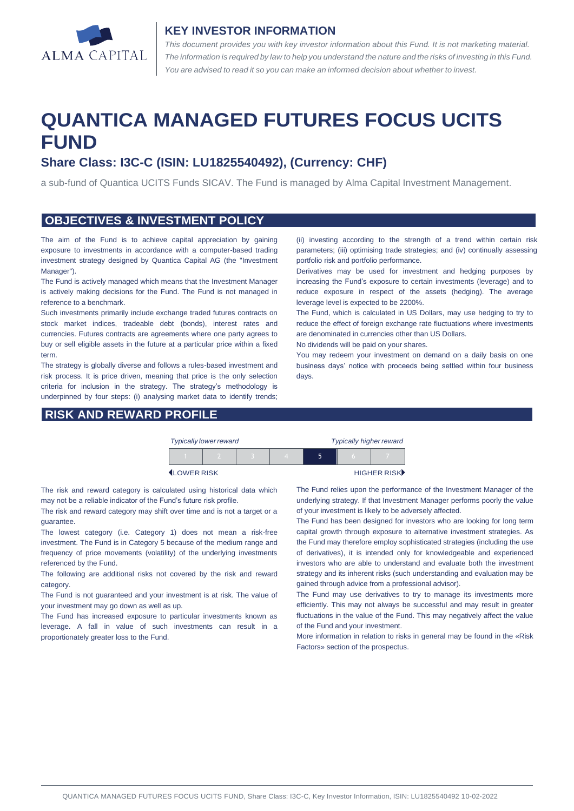

#### **KEY INVESTOR INFORMATION**

*This document provides you with key investor information about this Fund. It is not marketing material.*  The information is required by law to help you understand the nature and the risks of investing in this Fund. *You are advised to read it so you can make an informed decision about whether to invest.*

# **QUANTICA MANAGED FUTURES FOCUS UCITS FUND**

## **Share Class: I3C-C (ISIN: LU1825540492), (Currency: CHF)**

a sub-fund of Quantica UCITS Funds SICAV. The Fund is managed by Alma Capital Investment Management.

#### **OBJECTIVES & INVESTMENT POLICY**

The aim of the Fund is to achieve capital appreciation by gaining exposure to investments in accordance with a computer-based trading investment strategy designed by Quantica Capital AG (the "Investment Manager").

The Fund is actively managed which means that the Investment Manager is actively making decisions for the Fund. The Fund is not managed in reference to a benchmark.

Such investments primarily include exchange traded futures contracts on stock market indices, tradeable debt (bonds), interest rates and currencies. Futures contracts are agreements where one party agrees to buy or sell eligible assets in the future at a particular price within a fixed term.

The strategy is globally diverse and follows a rules-based investment and risk process. It is price driven, meaning that price is the only selection criteria for inclusion in the strategy. The strategy's methodology is underpinned by four steps: (i) analysing market data to identify trends;

#### **RISK AND REWARD PROFILE**

(ii) investing according to the strength of a trend within certain risk parameters; (iii) optimising trade strategies; and (iv) continually assessing portfolio risk and portfolio performance.

Derivatives may be used for investment and hedging purposes by increasing the Fund's exposure to certain investments (leverage) and to reduce exposure in respect of the assets (hedging). The average leverage level is expected to be 2200%.

The Fund, which is calculated in US Dollars, may use hedging to try to reduce the effect of foreign exchange rate fluctuations where investments are denominated in currencies other than US Dollars.

No dividends will be paid on your shares.

You may redeem your investment on demand on a daily basis on one business days' notice with proceeds being settled within four business days.



The risk and reward category is calculated using historical data which may not be a reliable indicator of the Fund's future risk profile.

The risk and reward category may shift over time and is not a target or a guarantee.

The lowest category (i.e. Category 1) does not mean a risk-free investment. The Fund is in Category 5 because of the medium range and frequency of price movements (volatility) of the underlying investments referenced by the Fund.

The following are additional risks not covered by the risk and reward category.

The Fund is not guaranteed and your investment is at risk. The value of your investment may go down as well as up.

The Fund has increased exposure to particular investments known as leverage. A fall in value of such investments can result in a proportionately greater loss to the Fund.

The Fund relies upon the performance of the Investment Manager of the underlying strategy. If that Investment Manager performs poorly the value of your investment is likely to be adversely affected.

The Fund has been designed for investors who are looking for long term capital growth through exposure to alternative investment strategies. As the Fund may therefore employ sophisticated strategies (including the use of derivatives), it is intended only for knowledgeable and experienced investors who are able to understand and evaluate both the investment strategy and its inherent risks (such understanding and evaluation may be gained through advice from a professional advisor).

The Fund may use derivatives to try to manage its investments more efficiently. This may not always be successful and may result in greater fluctuations in the value of the Fund. This may negatively affect the value of the Fund and your investment.

More information in relation to risks in general may be found in the «Risk Factors» section of the prospectus.